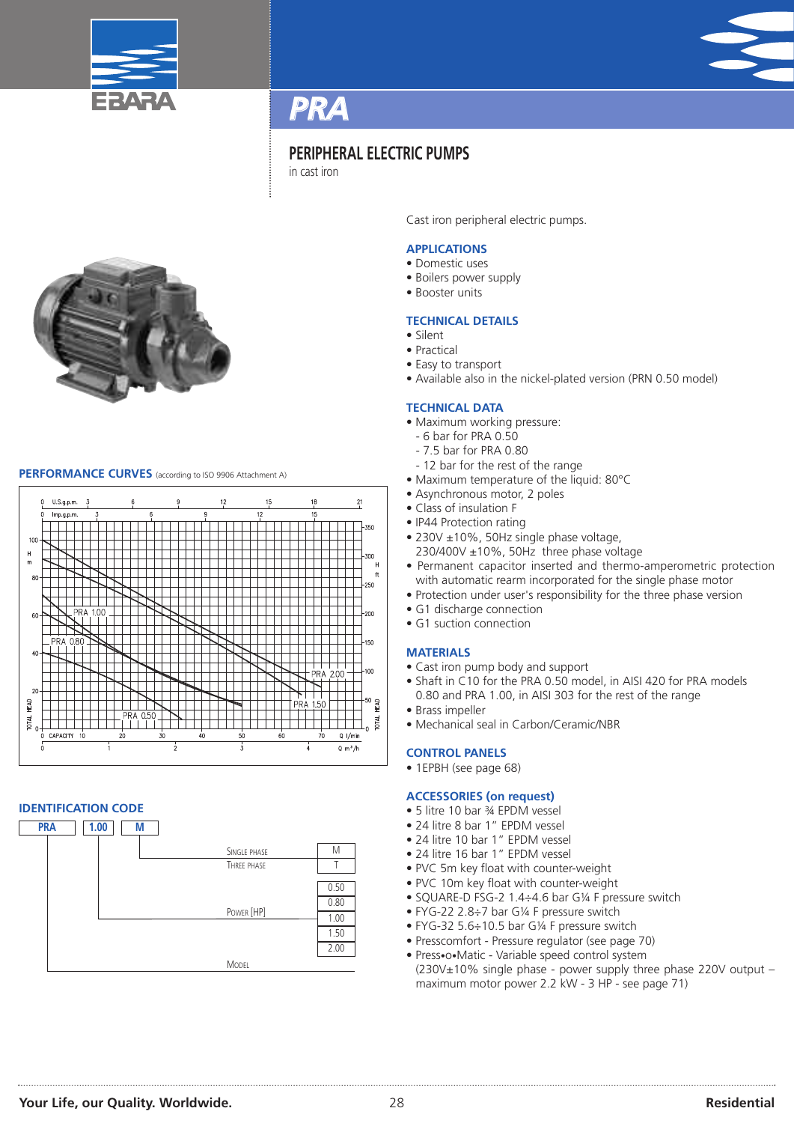



# **PERIPHERAL ELECTRIC PUMPS**

in cast iron



# **PERFORMANCE CURVES** (according to ISO <sup>9906</sup> Attachment A)



# **IDENTIFICATION CODE**



Cast iron peripheral electric pumps.

# **APPLICATIONS**

- Domestic uses
- Boilers power supply
- Booster units

# **TECHNICAL DETAILS**

- Silent
- Practical
- Easy to transport
- Available also in the nickel-plated version (PRN 0.50 model)

# **TECHNICAL DATA**

- Maximum working pressure:
- 6 bar for PRA 0.50
- 7.5 bar for PRA 0.80
- 12 bar for the rest of the range
- Maximum temperature of the liquid: 80°C
- Asynchronous motor, 2 poles
- Class of insulation F
- IP44 Protection rating
- 230V ±10%, 50Hz single phase voltage, 230/400V ±10%, 50Hz three phase voltage
- Permanent capacitor inserted and thermo-amperometric protection with automatic rearm incorporated for the single phase motor
- Protection under user's responsibility for the three phase version
- G1 discharge connection
- G1 suction connection

# **MATERIALS**

- Cast iron pump body and support
- Shaft in C10 for the PRA 0.50 model, in AISI 420 for PRA models 0.80 and PRA 1.00, in AISI 303 for the rest of the range
- Brass impeller
- Mechanical seal in Carbon/Ceramic/NBR

### **CONTROL PANELS**

• 1EPBH (see page 68)

### **ACCESSORIES (on request)**

- 5 litre 10 bar ¾ EPDM vessel
- 24 litre 8 bar 1" EPDM vessel
- 24 litre 10 bar 1" EPDM vessel
- 24 litre 16 bar 1" EPDM vessel
- PVC 5m key float with counter-weight
- PVC 10m key float with counter-weight
- SQUARE-D FSG-2 1.4÷4.6 bar G¼ F pressure switch
- FYG-22 2.8÷7 bar G¼ F pressure switch
- FYG-32 5.6÷10.5 bar G¼ F pressure switch
- Presscomfort Pressure regulator (see page 70)
- Press•o•Matic Variable speed control system (230V±10% single phase - power supply three phase 220V output – maximum motor power 2.2 kW - 3 HP - see page 71)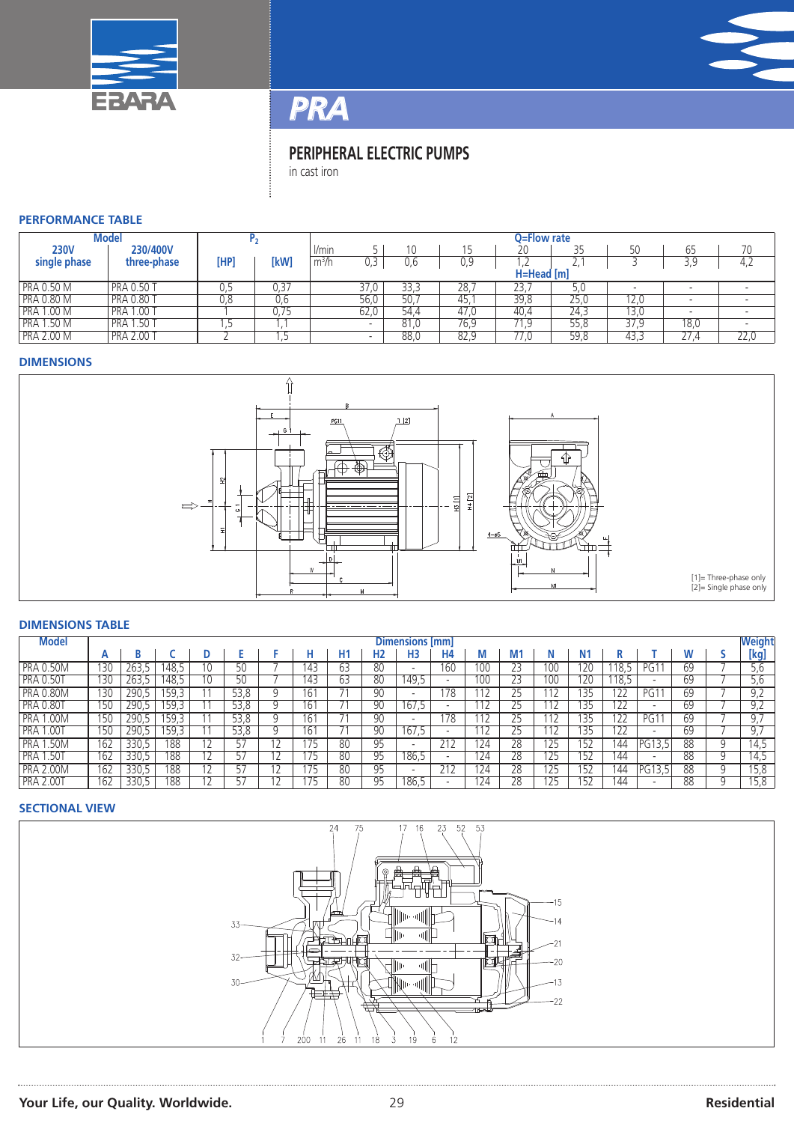



# *PRA*

# **PERIPHERAL ELECTRIC PUMPS**

in cast iron

# **PERFORMANCE TABLE**

| Model             |                   |      |              |             |      |      | Q=Flow rate |      |      |      |             |      |
|-------------------|-------------------|------|--------------|-------------|------|------|-------------|------|------|------|-------------|------|
| <b>230V</b>       | 230/400V          |      |              | <i>Vmin</i> |      |      |             | 20   | 35   | 50   | 65          | 70   |
| single phase      | three-phase       | [HP] | [kW          | $m^3/h$     | 0,3  | U.b  | 0,9         | ,2   | Ζ,   |      | 20          | 4,2  |
|                   |                   |      | $H=Head$ [m] |             |      |      |             |      |      |      |             |      |
| <b>PRA 0.50 M</b> | <b>PRA 0.50</b>   | U,J  | J.37         |             | 37,0 | 33,3 | 28.         | 23,  | 5,0  |      |             |      |
| <b>PRA 0.80 M</b> | <b>PRA 0.80 T</b> | 0,8  | U,6          |             | 56,0 | 50.7 | 45,         | 39,8 | 25,0 | 12,0 |             |      |
| <b>PRA 1.00 M</b> | <b>PRA 1.00 T</b> |      | 0.75         |             | 62,0 | 54,4 | 47,0        | 40,4 | 24,3 | 13,0 |             |      |
| <b>PRA 1.50 M</b> | <b>PRA 1.50 T</b> |      |              |             |      | 81.0 | 76,9        | 71,9 | 55,8 | 37,9 | 18,0        |      |
| <b>PRA 2.00 M</b> | <b>PRA 2.00 T</b> |      | . .          |             |      | 88,0 | 82,9        | 77.0 | 59,8 | 43,3 | 27.4<br>، ے | 22,0 |

# **DIMENSIONS**



# **DIMENSIONS TABLE**

| <b>Model</b>             | Dimensions [mm] |       |       |                 |      |  |      |    |                |                |                          |           | <b>Weight</b> |     |     |              |        |    |   |              |
|--------------------------|-----------------|-------|-------|-----------------|------|--|------|----|----------------|----------------|--------------------------|-----------|---------------|-----|-----|--------------|--------|----|---|--------------|
|                          | A               |       |       |                 |      |  |      | H1 | H <sub>2</sub> | H <sub>3</sub> | <b>H4</b>                | M         |               |     | Ν1  |              |        |    |   | [kg]         |
| <b>PRA 0.50M</b>         | 130             | 263,5 | . 48. | I Ü             |      |  | 143  | 63 | 80             |                | 160                      | 100       |               | 100 | 20  |              | PG     | 69 |   | d,c          |
| <b>PRA 0.50T</b>         | 130             | 263,5 | 48.5  | 10              |      |  | 143  | 63 | 80             | 149.5          | $\overline{\phantom{a}}$ | 10C       | ۷ź            | 100 | 20  | 18.5         |        | 69 |   | o,c          |
| <b>PRA 0.80M</b>         | 130             | 290,5 | . 59  |                 | 53,8 |  | l bi |    | 90             |                | 178                      |           | 25            |     | 35  | $\sim$<br>22 | PG     | 69 |   | 9,2          |
| <b>PRA 0.80T</b>         | 150             | 290,5 | . 59. |                 | 53,8 |  | l bi |    | 90             | 167.5          | $\overline{\phantom{a}}$ |           | 25            |     | 35  | 122          |        | 69 |   | ے ، ب        |
| <b>PRA</b><br>.00M       | 150             | 290,5 | .59   |                 | 53.8 |  | l b  |    | 90             |                | 178                      |           | 25            |     | 135 | 122          | PG     | 69 |   |              |
| PRA <sub>1</sub><br>.007 | 150             | 290,5 | 59,   |                 | 53,8 |  | 16   |    | 90             | 167,5          | $\overline{\phantom{a}}$ |           | 25            | 112 | 35  | 122          |        | 69 |   | ، ب          |
| <b>PRA</b><br>.50M       | 162             | 330.5 | 188   |                 |      |  |      | 80 | 95             |                |                          | .24       | 28            | 125 | 52  | 144          | ħ      | 88 |   | $\sqrt{4.5}$ |
| PRA 1<br>.50T            | 162             | 330,5 | 188   | $1\overline{2}$ |      |  | 175  | 80 | 95             | 186,5          | $\overline{\phantom{a}}$ | 124       | 28            | 125 | 152 | 144          |        | 88 | u | 14,5         |
| <b>PRA 2.00M</b>         | 162             | 330,5 | 188   |                 |      |  |      | 80 | 95             |                |                          | <b>24</b> | 28            | 125 | 52  | 144          | PG13.5 | 88 |   | 15,8         |
| <b>PRA 2.00T</b>         | 162             | 330.5 | 188   |                 |      |  |      | 80 | 95             | 186,5          | $\overline{\phantom{a}}$ | 124       | 28            | 125 | 152 | 144          |        | 88 |   | 15.8         |

# **SECTIONAL VIEW**